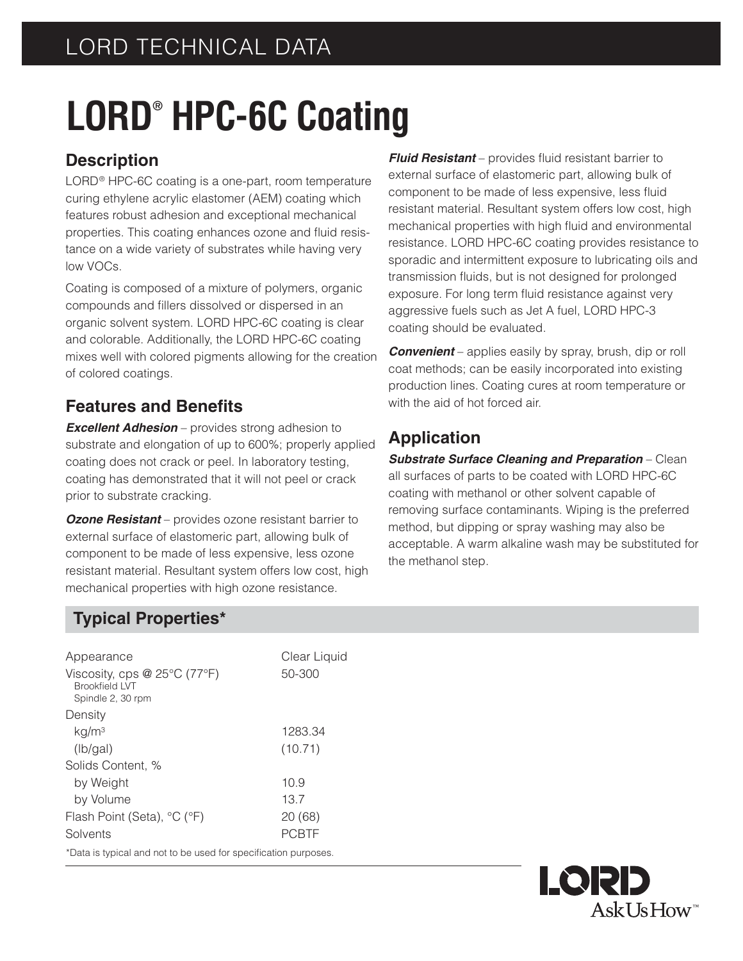# **LORD® HPC-6C Coating**

# **Description**

LORD<sup>®</sup> HPC-6C coating is a one-part, room temperature curing ethylene acrylic elastomer (AEM) coating which features robust adhesion and exceptional mechanical properties. This coating enhances ozone and fluid resistance on a wide variety of substrates while having very low VOCs.

Coating is composed of a mixture of polymers, organic compounds and fillers dissolved or dispersed in an organic solvent system. LORD HPC-6C coating is clear and colorable. Additionally, the LORD HPC-6C coating mixes well with colored pigments allowing for the creation of colored coatings.

## **Features and Benefits**

*Excellent Adhesion* – provides strong adhesion to substrate and elongation of up to 600%; properly applied coating does not crack or peel. In laboratory testing, coating has demonstrated that it will not peel or crack prior to substrate cracking.

*Ozone Resistant* – provides ozone resistant barrier to external surface of elastomeric part, allowing bulk of component to be made of less expensive, less ozone resistant material. Resultant system offers low cost, high mechanical properties with high ozone resistance.

**Fluid Resistant** – provides fluid resistant barrier to external surface of elastomeric part, allowing bulk of component to be made of less expensive, less fluid resistant material. Resultant system offers low cost, high mechanical properties with high fluid and environmental resistance. LORD HPC-6C coating provides resistance to sporadic and intermittent exposure to lubricating oils and transmission fluids, but is not designed for prolonged exposure. For long term fluid resistance against very aggressive fuels such as Jet A fuel, LORD HPC-3 coating should be evaluated.

*Convenient* – applies easily by spray, brush, dip or roll coat methods; can be easily incorporated into existing production lines. Coating cures at room temperature or with the aid of hot forced air.

# **Application**

*Substrate Surface Cleaning and Preparation* – Clean all surfaces of parts to be coated with LORD HPC-6C coating with methanol or other solvent capable of removing surface contaminants. Wiping is the preferred method, but dipping or spray washing may also be acceptable. A warm alkaline wash may be substituted for the methanol step.

# **Typical Properties\***

| Appearance                                                                          | Clear Liquid |
|-------------------------------------------------------------------------------------|--------------|
| Viscosity, cps $@$ 25 $°C$ (77 $°F$ )<br><b>Brookfield IVT</b><br>Spindle 2, 30 rpm | 50-300       |
| Density                                                                             |              |
| kg/m <sup>3</sup>                                                                   | 1283.34      |
| (lb/gal)                                                                            | (10.71)      |
| Solids Content, %                                                                   |              |
| by Weight                                                                           | 10.9         |
| by Volume                                                                           | 13.7         |
| Flash Point (Seta), °C (°F)                                                         | 20 (68)      |
| Solvents                                                                            | <b>PCBTF</b> |
| *Data is typical and not to be used for specification purposes.                     |              |

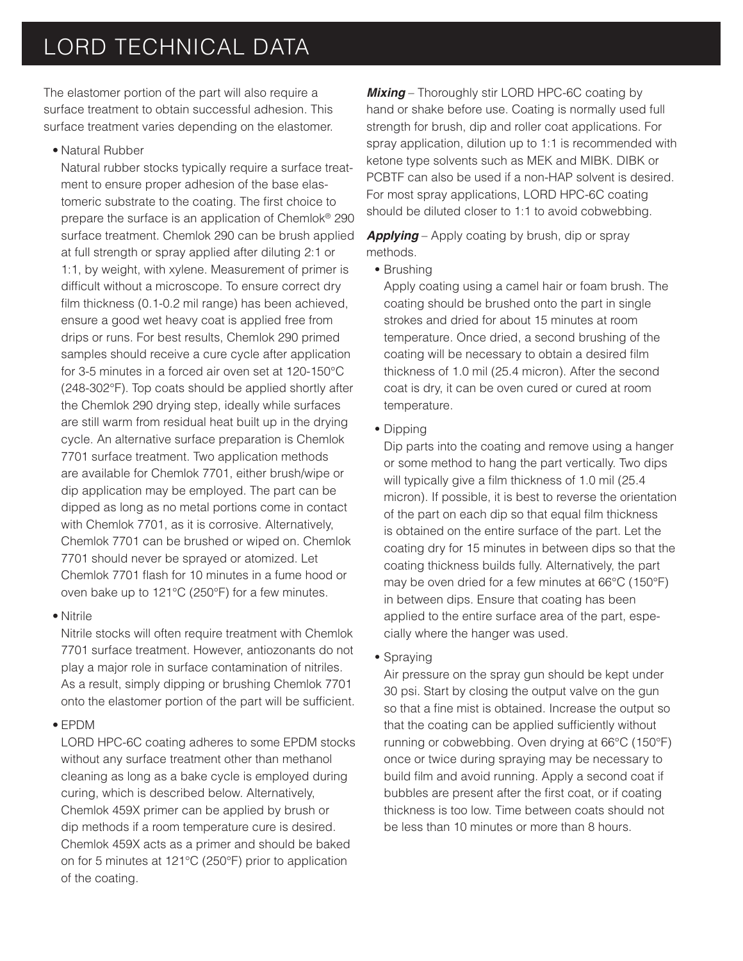# LORD TECHNICAL DATA

The elastomer portion of the part will also require a surface treatment to obtain successful adhesion. This surface treatment varies depending on the elastomer.

• Natural Rubber

 Natural rubber stocks typically require a surface treatment to ensure proper adhesion of the base elastomeric substrate to the coating. The first choice to prepare the surface is an application of Chemlok® 290 surface treatment. Chemlok 290 can be brush applied at full strength or spray applied after diluting 2:1 or 1:1, by weight, with xylene. Measurement of primer is difficult without a microscope. To ensure correct dry film thickness  $(0.1$ -0.2 mil range) has been achieved, ensure a good wet heavy coat is applied free from drips or runs. For best results, Chemlok 290 primed samples should receive a cure cycle after application for 3-5 minutes in a forced air oven set at 120-150°C (248-302°F). Top coats should be applied shortly after the Chemlok 290 drying step, ideally while surfaces are still warm from residual heat built up in the drying cycle. An alternative surface preparation is Chemlok 7701 surface treatment. Two application methods are available for Chemlok 7701, either brush/wipe or dip application may be employed. The part can be dipped as long as no metal portions come in contact with Chemlok 7701, as it is corrosive. Alternatively, Chemlok 7701 can be brushed or wiped on. Chemlok 7701 should never be sprayed or atomized. Let Chemlok 7701 flash for 10 minutes in a fume hood or oven bake up to 121°C (250°F) for a few minutes.

• Nitrile

 Nitrile stocks will often require treatment with Chemlok 7701 surface treatment. However, antiozonants do not play a major role in surface contamination of nitriles. As a result, simply dipping or brushing Chemlok 7701 onto the elastomer portion of the part will be sufficient.

• EPDM

 LORD HPC-6C coating adheres to some EPDM stocks without any surface treatment other than methanol cleaning as long as a bake cycle is employed during curing, which is described below. Alternatively, Chemlok 459X primer can be applied by brush or dip methods if a room temperature cure is desired. Chemlok 459X acts as a primer and should be baked on for 5 minutes at 121°C (250°F) prior to application of the coating.

**Mixing** – Thoroughly stir LORD HPC-6C coating by hand or shake before use. Coating is normally used full strength for brush, dip and roller coat applications. For spray application, dilution up to 1:1 is recommended with ketone type solvents such as MEK and MIBK. DIBK or PCBTF can also be used if a non-HAP solvent is desired. For most spray applications, LORD HPC-6C coating should be diluted closer to 1:1 to avoid cobwebbing.

#### *Applying* – Apply coating by brush, dip or spray methods.

**•** Brushing

Apply coating using a camel hair or foam brush. The coating should be brushed onto the part in single strokes and dried for about 15 minutes at room temperature. Once dried, a second brushing of the coating will be necessary to obtain a desired film thickness of 1.0 mil (25.4 micron). After the second coat is dry, it can be oven cured or cured at room temperature.

**•** Dipping

 Dip parts into the coating and remove using a hanger or some method to hang the part vertically. Two dips will typically give a film thickness of 1.0 mil (25.4) micron). If possible, it is best to reverse the orientation of the part on each dip so that equal film thickness is obtained on the entire surface of the part. Let the coating dry for 15 minutes in between dips so that the coating thickness builds fully. Alternatively, the part may be oven dried for a few minutes at 66°C (150°F) in between dips. Ensure that coating has been applied to the entire surface area of the part, especially where the hanger was used.

**•** Spraying

Air pressure on the spray gun should be kept under 30 psi. Start by closing the output valve on the gun so that a fine mist is obtained. Increase the output so that the coating can be applied sufficiently without running or cobwebbing. Oven drying at 66°C (150°F) once or twice during spraying may be necessary to build film and avoid running. Apply a second coat if bubbles are present after the first coat, or if coating thickness is too low. Time between coats should not be less than 10 minutes or more than 8 hours.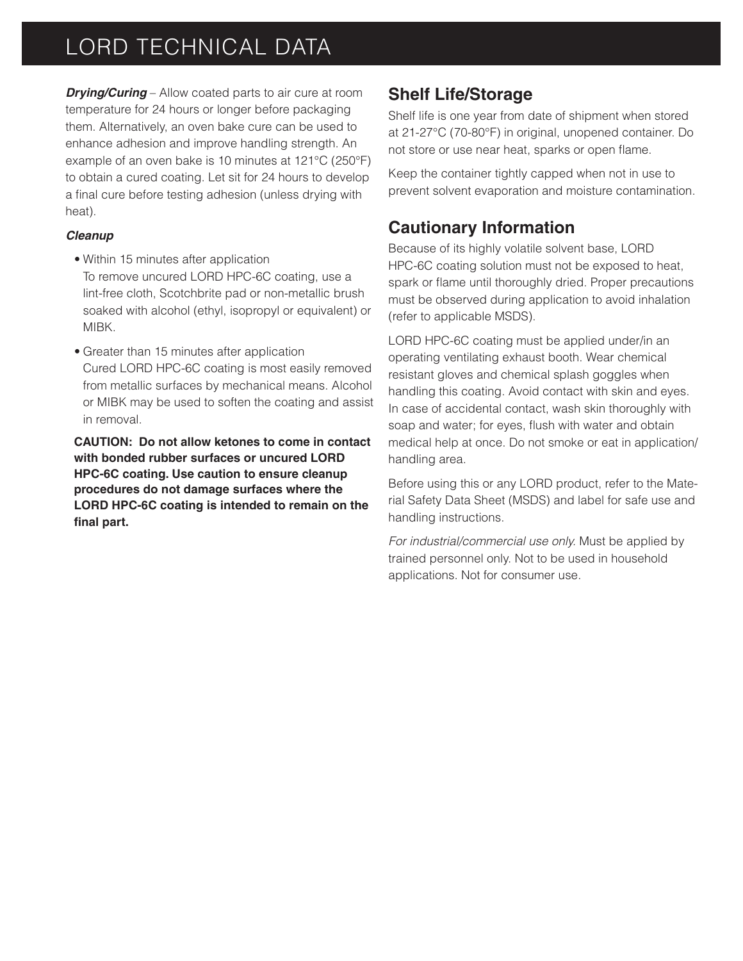# LORD TECHNICAL DATA

*Drying/Curing* – Allow coated parts to air cure at room temperature for 24 hours or longer before packaging them. Alternatively, an oven bake cure can be used to enhance adhesion and improve handling strength. An example of an oven bake is 10 minutes at 121°C (250°F) to obtain a cured coating. Let sit for 24 hours to develop a final cure before testing adhesion (unless drying with heat).

#### *Cleanup*

- Within 15 minutes after application To remove uncured LORD HPC-6C coating, use a lint-free cloth, Scotchbrite pad or non-metallic brush soaked with alcohol (ethyl, isopropyl or equivalent) or MIBK.
- Greater than 15 minutes after application Cured LORD HPC-6C coating is most easily removed from metallic surfaces by mechanical means. Alcohol or MIBK may be used to soften the coating and assist in removal.

**CAUTION: Do not allow ketones to come in contact with bonded rubber surfaces or uncured LORD HPC-6C coating. Use caution to ensure cleanup procedures do not damage surfaces where the LORD HPC-6C coating is intended to remain on the**  final part.

### **Shelf Life/Storage**

Shelf life is one year from date of shipment when stored at 21-27°C (70-80°F) in original, unopened container. Do not store or use near heat, sparks or open flame.

Keep the container tightly capped when not in use to prevent solvent evaporation and moisture contamination.

## **Cautionary Information**

Because of its highly volatile solvent base, LORD HPC-6C coating solution must not be exposed to heat, spark or flame until thoroughly dried. Proper precautions must be observed during application to avoid inhalation (refer to applicable MSDS).

LORD HPC-6C coating must be applied under/in an operating ventilating exhaust booth. Wear chemical resistant gloves and chemical splash goggles when handling this coating. Avoid contact with skin and eyes. In case of accidental contact, wash skin thoroughly with soap and water; for eyes, flush with water and obtain medical help at once. Do not smoke or eat in application/ handling area.

Before using this or any LORD product, refer to the Material Safety Data Sheet (MSDS) and label for safe use and handling instructions.

*For industrial/commercial use only.* Must be applied by trained personnel only. Not to be used in household applications. Not for consumer use.